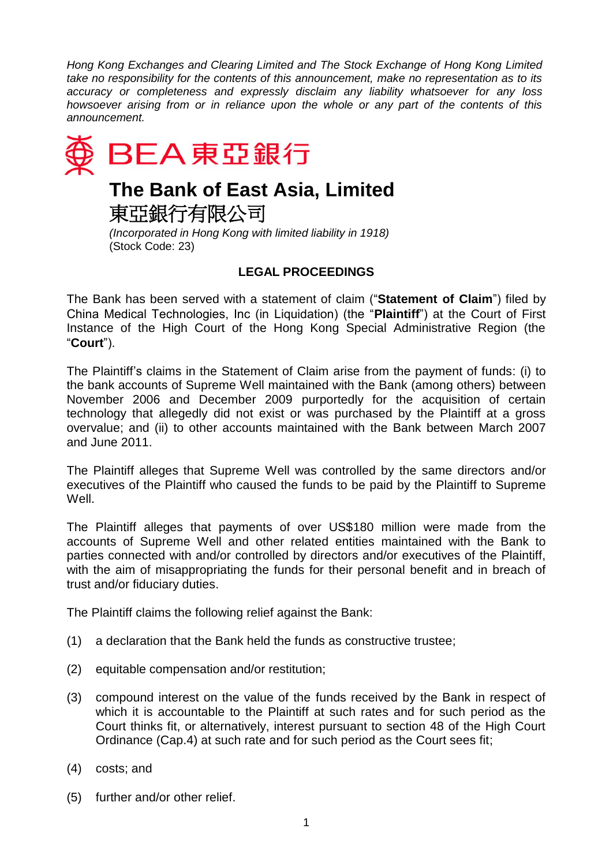*Hong Kong Exchanges and Clearing Limited and The Stock Exchange of Hong Kong Limited take no responsibility for the contents of this announcement, make no representation as to its accuracy or completeness and expressly disclaim any liability whatsoever for any loss howsoever arising from or in reliance upon the whole or any part of the contents of this announcement.*



## **The Bank of East Asia, Limited**

東亞銀行有限公司

*(Incorporated in Hong Kong with limited liability in 1918)* (Stock Code: 23)

## **LEGAL PROCEEDINGS**

The Bank has been served with a statement of claim ("**Statement of Claim**") filed by China Medical Technologies, Inc (in Liquidation) (the "**Plaintiff**") at the Court of First Instance of the High Court of the Hong Kong Special Administrative Region (the "**Court**").

The Plaintiff's claims in the Statement of Claim arise from the payment of funds: (i) to the bank accounts of Supreme Well maintained with the Bank (among others) between November 2006 and December 2009 purportedly for the acquisition of certain technology that allegedly did not exist or was purchased by the Plaintiff at a gross overvalue; and (ii) to other accounts maintained with the Bank between March 2007 and June 2011.

The Plaintiff alleges that Supreme Well was controlled by the same directors and/or executives of the Plaintiff who caused the funds to be paid by the Plaintiff to Supreme Well.

The Plaintiff alleges that payments of over US\$180 million were made from the accounts of Supreme Well and other related entities maintained with the Bank to parties connected with and/or controlled by directors and/or executives of the Plaintiff, with the aim of misappropriating the funds for their personal benefit and in breach of trust and/or fiduciary duties.

The Plaintiff claims the following relief against the Bank:

- (1) a declaration that the Bank held the funds as constructive trustee;
- (2) equitable compensation and/or restitution;
- (3) compound interest on the value of the funds received by the Bank in respect of which it is accountable to the Plaintiff at such rates and for such period as the Court thinks fit, or alternatively, interest pursuant to section 48 of the High Court Ordinance (Cap.4) at such rate and for such period as the Court sees fit;
- (4) costs; and
- (5) further and/or other relief.